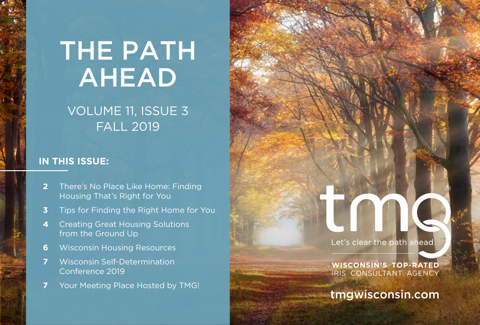# THE PATH AHEAD

# VOLUME 11, ISSUE 3 FALL 2019

### **IN THIS ISSUE:**

- **2** There's No Place Like Home: Finding Housing That's Right for You
- **3** Tips for Finding the Right Home for You
- **4** Creating Great Housing Solutions from the Ground Up
- **6** Wisconsin Housing Resources
- **7** Wisconsin Self-Determination Conference 2019
- **7** Your Meeting Place Hosted by TMG!

Let's clear the path ahead.

**WISCONSIN'S TOP-RATED**  IRIS CONSULTANT AGENCY

[tmgwisconsin.com](http://tmgwisconsin.com)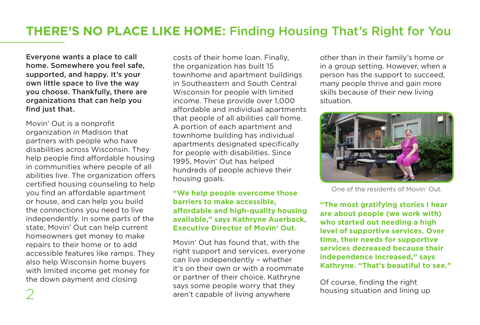# **THERE'S NO PLACE LIKE HOME:** Finding Housing That's Right for You

Everyone wants a place to call home. Somewhere you feel safe, supported, and happy. It's your own little space to live the way you choose. Thankfully, there are organizations that can help you find just that.

Movin' Out is a nonprofit organization in Madison that partners with people who have disabilities across Wisconsin. They help people find affordable housing in communities where people of all abilities live. The organization offers certified housing counseling to help you find an affordable apartment or house, and can help you build the connections you need to live independently. In some parts of the state, Movin' Out can help current homeowners get money to make repairs to their home or to add accessible features like ramps. They also help Wisconsin home buyers with limited income get money for the down payment and closing

costs of their home loan. Finally, the organization has built 15 townhome and apartment buildings in Southeastern and South Central Wisconsin for people with limited income. These provide over 1,000 affordable and individual apartments that people of all abilities call home. A portion of each apartment and townhome building has individual apartments designated specifically for people with disabilities. Since 1995, Movin' Out has helped hundreds of people achieve their housing goals.

#### **"We help people overcome those barriers to make accessible, affordable and high-quality housing available," says Kathryne Auerback, Executive Director of Movin' Out.**

Movin' Out has found that, with the right support and services, everyone can live independently – whether it's on their own or with a roommate or partner of their choice. Kathryne says some people worry that they aren't capable of living anywhere housing situation and lining up aren't capable of living anywhere

other than in their family's home or in a group setting. However, when a person has the support to succeed, many people thrive and gain more skills because of their new living situation.



One of the residents of Movin' Out.

**"The most gratifying stories I hear are about people (we work with) who started out needing a high level of supportive services. Over time, their needs for supportive services decreased because their independence increased," says Kathryne. "That's beautiful to see."**

Of course, finding the right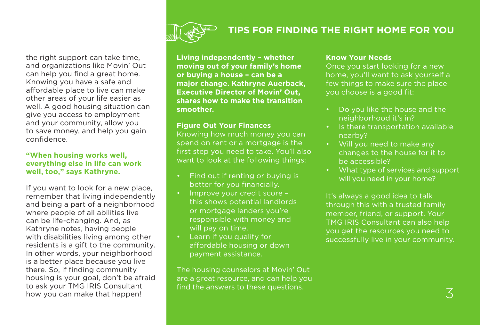

### **TIPS FOR FINDING THE RIGHT HOME FOR YOU**

the right support can take time, and organizations like Movin' Out can help you find a great home. Knowing you have a safe and affordable place to live can make other areas of your life easier as well. A good housing situation can give you access to employment and your community, allow you to save money, and help you gain confidence.

#### **"When housing works well, everything else in life can work well, too," says Kathryne.**

If you want to look for a new place, remember that living independently and being a part of a neighborhood where people of all abilities live can be life-changing. And, as Kathryne notes, having people with disabilities living among other residents is a gift to the community. In other words, your neighborhood is a better place because you live there. So, if finding community housing is your goal, don't be afraid to ask your TMG IRIS Consultant how you can make that happen!

**Living independently – whether moving out of your family's home or buying a house – can be a major change. Kathryne Auerback, Executive Director of Movin' Out, shares how to make the transition smoother.** 

#### **Figure Out Your Finances**

Knowing how much money you can spend on rent or a mortgage is the first step you need to take. You'll also want to look at the following things:

- Find out if renting or buying is better for you financially.
- Improve your credit score this shows potential landlords or mortgage lenders you're responsible with money and will pay on time.
- Learn if you qualify for affordable housing or down payment assistance.

The housing counselors at Movin' Out are a great resource, and can help you find the answers to these questions.

#### **Know Your Needs**

Once you start looking for a new home, you'll want to ask yourself a few things to make sure the place you choose is a good fit:

- Do you like the house and the neighborhood it's in?
- Is there transportation available nearby?
- Will you need to make any changes to the house for it to be accessible?
- What type of services and support will you need in your home?

It's always a good idea to talk through this with a trusted family member, friend, or support. Your TMG IRIS Consultant can also help you get the resources you need to successfully live in your community.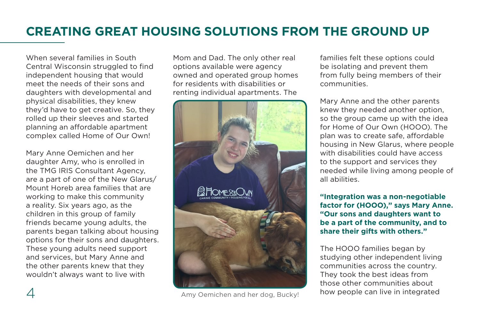# **CREATING GREAT HOUSING SOLUTIONS FROM THE GROUND UP**

When several families in South Central Wisconsin struggled to find independent housing that would meet the needs of their sons and daughters with developmental and physical disabilities, they knew they'd have to get creative. So, they rolled up their sleeves and started planning an affordable apartment complex called Home of Our Own!

Mary Anne Oemichen and her daughter Amy, who is enrolled in the TMG IRIS Consultant Agency, are a part of one of the New Glarus/ Mount Horeb area families that are working to make this community a reality. Six years ago, as the children in this group of family friends became young adults, the parents began talking about housing options for their sons and daughters. These young adults need support and services, but Mary Anne and the other parents knew that they wouldn't always want to live with

Mom and Dad. The only other real options available were agency owned and operated group homes for residents with disabilities or renting individual apartments. The



4 Amy Oemichen and her dog, Bucky!

families felt these options could be isolating and prevent them from fully being members of their communities.

Mary Anne and the other parents knew they needed another option, so the group came up with the idea for Home of Our Own (HOOO). The plan was to create safe, affordable housing in New Glarus, where people with disabilities could have access to the support and services they needed while living among people of all abilities.

**"Integration was a non-negotiable factor for (HOOO)," says Mary Anne. "Our sons and daughters want to be a part of the community, and to share their gifts with others."**

The HOOO families began by studying other independent living communities across the country. They took the best ideas from those other communities about how people can live in integrated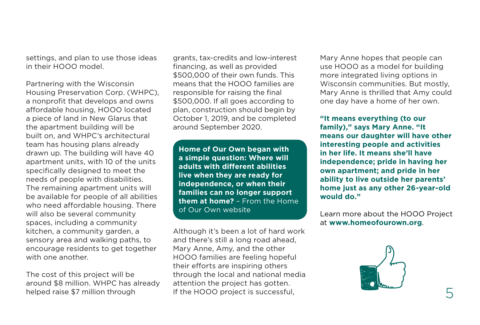settings, and plan to use those ideas in their HOOO model.

Partnering with the Wisconsin Housing Preservation Corp. (WHPC), a nonprofit that develops and owns affordable housing, HOOO located a piece of land in New Glarus that the apartment building will be built on, and WHPC's architectural team has housing plans already drawn up. The building will have 40 apartment units, with 10 of the units specifically designed to meet the needs of people with disabilities. The remaining apartment units will be available for people of all abilities who need affordable housing. There will also be several community spaces, including a community kitchen, a community garden, a sensory area and walking paths, to encourage residents to get together with one another.

The cost of this project will be around \$8 million. WHPC has already helped raise \$7 million through

grants, tax-credits and low-interest financing, as well as provided \$500,000 of their own funds. This means that the HOOO families are responsible for raising the final \$500,000. If all goes according to plan, construction should begin by October 1, 2019, and be completed around September 2020.

**Home of Our Own began with a simple question: Where will adults with different abilities live when they are ready for independence, or when their families can no longer support them at home?** – From the Home of Our Own website

Although it's been a lot of hard work and there's still a long road ahead, Mary Anne, Amy, and the other HOOO families are feeling hopeful their efforts are inspiring others through the local and national media attention the project has gotten. If the HOOO project is successful,

Mary Anne hopes that people can use HOOO as a model for building more integrated living options in Wisconsin communities. But mostly, Mary Anne is thrilled that Amy could one day have a home of her own.

**"It means everything (to our family)," says Mary Anne. "It means our daughter will have other interesting people and activities in her life. It means she'll have independence; pride in having her own apartment; and pride in her ability to live outside her parents' home just as any other 26-year-old would do."** 

Learn more about the HOOO Project at **[www.homeofourown.org](https://www.homeofourown.org/)**.

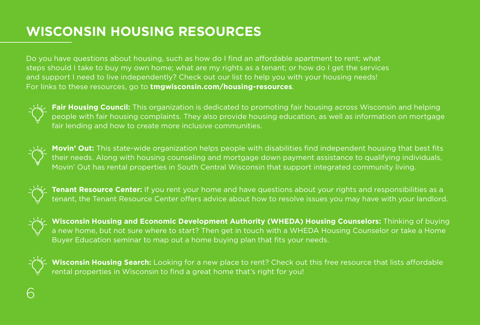# **WISCONSIN HOUSING RESOURCES**

Do you have questions about housing, such as how do I find an affordable apartment to rent; what steps should I take to buy my own home; what are my rights as a tenant; or how do I get the services and support I need to live independently? Check out our list to help you with your housing needs! For links to these resources, go to **[tmgwisconsin.com/housing-resources](http://www.tmgwisconsin.com/housing-resources)**.



**Fair Housing Council:** This organization is dedicated to promoting fair housing across Wisconsin and helping people with fair housing complaints. They also provide housing education, as well as information on mortgage fair lending and how to create more inclusive communities.



**Movin' Out:** This state-wide organization helps people with disabilities find independent housing that best fits their needs. Along with housing counseling and mortgage down payment assistance to qualifying individuals, Movin' Out has rental properties in South Central Wisconsin that support integrated community living.



**Tenant Resource Center:** If you rent your home and have questions about your rights and responsibilities as a tenant, the Tenant Resource Center offers advice about how to resolve issues you may have with your landlord.



**Wisconsin Housing and Economic Development Authority (WHEDA) Housing Counselors:** Thinking of buying a new home, but not sure where to start? Then get in touch with a WHEDA Housing Counselor or take a Home Buyer Education seminar to map out a home buying plan that fits your needs.



**Wisconsin Housing Search:** Looking for a new place to rent? Check out this free resource that lists affordable rental properties in Wisconsin to find a great home that's right for you!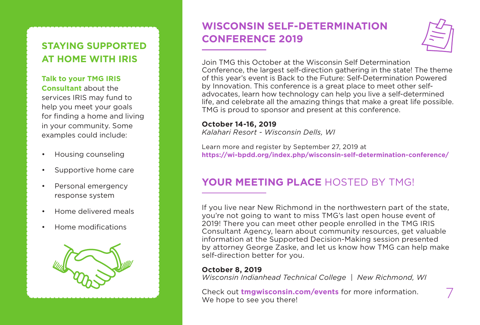## **STAYING SUPPORTED AT HOME WITH IRIS**

### **Talk to your TMG IRIS**

**Consultant** about the services IRIS may fund to help you meet your goals for finding a home and living in your community. Some examples could include:

- Housing counseling
- Supportive home care
- Personal emergency response system
- Home delivered meals
- Home modifications



# **WISCONSIN SELF-DETERMINATION CONFERENCE 2019**



Join TMG this October at the Wisconsin Self Determination Conference, the largest self-direction gathering in the state! The theme of this year's event is Back to the Future: Self-Determination Powered by Innovation. This conference is a great place to meet other selfadvocates, learn how technology can help you live a self-determined life, and celebrate all the amazing things that make a great life possible. TMG is proud to sponsor and present at this conference.

### **October 14-16, 2019**

*Kalahari Resort - Wisconsin Dells, WI*

Learn more and register by September 27, 2019 at **<https://wi-bpdd.org/index.php/wisconsin-self-determination-conference/>**

### **YOUR MEETING PLACE** HOSTED BY TMG!

If you live near New Richmond in the northwestern part of the state, you're not going to want to miss TMG's last open house event of 2019! There you can meet other people enrolled in the TMG IRIS Consultant Agency, learn about community resources, get valuable information at the Supported Decision-Making session presented by attorney George Zaske, and let us know how TMG can help make self-direction better for you.

### **October 8, 2019**

*Wisconsin Indianhead Technical College | New Richmond, WI*

Check out **[tmgwisconsin.com/events](http://tmgwisconsin.com/events/)** for more information.  $\overline{7}$ <br>We hope to see you there!